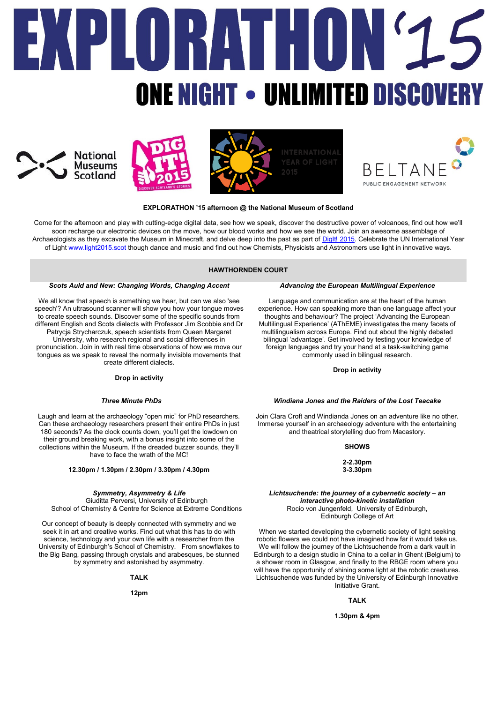# $\blacksquare$ NE NIGHT • UNLIMITED DISCOV







# **PUBLIC ENGAGEMENT NETWORK**

# **EXPLORATHON '15 afternoon @ the National Museum of Scotland**

Come for the afternoon and play with cutting-edge digital data, see how we speak, discover the destructive power of volcanoes, find out how we'll soon recharge our electronic devices on the move, how our blood works and how we see the world. Join an awesome assemblage of Archaeologists as they excavate the Museum in Minecraft, and delve deep into the past as part of Digit! 2015. Celebrate the UN International Year of Light [www.light2015.scot](http://www.light2015.scot/) though dance and music and find out how Chemists, Physicists and Astronomers use light in innovative ways.

## **HAWTHORNDEN COURT**

## *Scots Auld and New: Changing Words, Changing Accent*

We all know that speech is something we hear, but can we also 'see speech'? An ultrasound scanner will show you how your tongue moves to create speech sounds. Discover some of the specific sounds from different English and Scots dialects with Professor Jim Scobbie and Dr Patrycja Strycharczuk, speech scientists from Queen Margaret University, who research regional and social differences in pronunciation. Join in with real time observations of how we move our tongues as we speak to reveal the normally invisible movements that create different dialects.

## **Drop in activity**

## *Three Minute PhDs*

Laugh and learn at the archaeology "open mic" for PhD researchers. Can these archaeology researchers present their entire PhDs in just 180 seconds? As the clock counts down, you'll get the lowdown on their ground breaking work, with a bonus insight into some of the collections within the Museum. If the dreaded buzzer sounds, they'll have to face the wrath of the MC!

**12.30pm / 1.30pm / 2.30pm / 3.30pm / 4.30pm**

#### *Symmetry, Asymmetry & Life*

Giuditta Perversi, University of Edinburgh School of Chemistry & Centre for Science at Extreme Conditions

Our concept of beauty is deeply connected with symmetry and we seek it in art and creative works. Find out what this has to do with science, technology and your own life with a researcher from the University of Edinburgh's School of Chemistry. From snowflakes to the Big Bang, passing through crystals and arabesques, be stunned by symmetry and astonished by asymmetry.

## **TALK**

**12pm**

#### *Advancing the European Multilingual Experience*

Language and communication are at the heart of the human experience. How can speaking more than one language affect your thoughts and behaviour? The project 'Advancing the European Multilingual Experience' (AThEME) investigates the many facets of multilingualism across Europe. Find out about the highly debated bilingual 'advantage'. Get involved by testing your knowledge of foreign languages and try your hand at a task-switching game commonly used in bilingual research.

# **Drop in activity**

# *Windiana Jones and the Raiders of the Lost Teacake*

Join Clara Croft and Windianda Jones on an adventure like no other. Immerse yourself in an archaeology adventure with the entertaining and theatrical storytelling duo from Macastory.

## **SHOWS**

**2-2.30pm 3-3.30pm**

#### *Lichtsuchende: the journey of a cybernetic society - an interactive photo-kinetic installation* Rocio von Jungenfeld, University of Edinburgh, Edinburgh College of Art

When we started developing the cybernetic society of light seeking robotic flowers we could not have imagined how far it would take us. We will follow the journey of the Lichtsuchende from a dark vault in Edinburgh to a design studio in China to a cellar in Ghent (Belgium) to a shower room in Glasgow, and finally to the RBGE room where you will have the opportunity of shining some light at the robotic creatures. Lichtsuchende was funded by the University of Edinburgh Innovative Initiative Grant.

# **TALK**

#### **1.30pm & 4pm**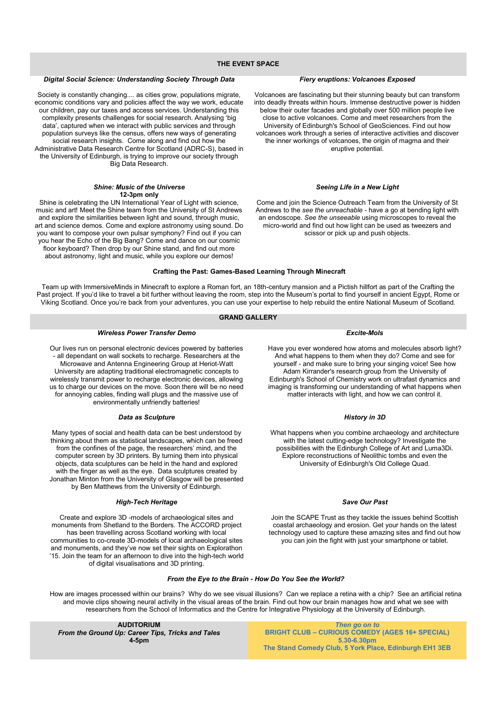#### **THE EVENT SPACE**

#### *Digital Social Science: Understanding Society Through Data*

Society is constantly changing.... as cities grow, populations migrate, economic conditions vary and policies affect the way we work, educate our children, pay our taxes and access services. Understanding this complexity presents challenges for social research. Analysing 'big data', captured when we interact with public services and through population surveys like the census, offers new ways of generating social research insights. Come along and find out how the Administrative Data Research Centre for Scotland (ADRC-S), based in the University of Edinburgh, is trying to improve our society through Big Data Research.

#### *Shine: Music of the Universe* **12-3pm only**

Shine is celebrating the UN International Year of Light with science, music and art! Meet the Shine team from the University of St Andrews and explore the similarities between light and sound, through music, art and science demos. Come and explore astronomy using sound. Do you want to compose your own pulsar symphony? Find out if you can you hear the Echo of the Big Bang? Come and dance on our cosmic floor keyboard? Then drop by our Shine stand, and find out more about astronomy, light and music, while you explore our demos!

### *Fiery eruptions: Volcanoes Exposed*

Volcanoes are fascinating but their stunning beauty but can transform into deadly threats within hours. Immense destructive power is hidden below their outer facades and globally over 500 million people live close to active volcanoes. Come and meet researchers from the University of Edinburgh's School of GeoSciences. Find out how volcanoes work through a series of interactive activities and discover the inner workings of volcanoes, the origin of magma and their eruptive potential.

#### *Seeing Life in a New Light*

Come and join the Science Outreach Team from the University of St Andrews to the *see the unreachable* - have a go at bending light with an endoscope. *See the unseeable* using microscopes to reveal the micro-world and find out how light can be used as tweezers and scissor or pick up and push objects.

#### **Crafting the Past: Games-Based Learning Through Minecraft**

Team up with ImmersiveMinds in Minecraft to explore a Roman fort, an 18th-century mansion and a Pictish hillfort as part of the Crafting the Past project. If you'd like to travel a bit further without leaving the room, step into the Museum's portal to find yourself in ancient Egypt, Rome or Viking Scotland. Once you're back from your adventures, you can use your expertise to help rebuild the entire National Museum of Scotland.

## **GRAND GALLERY**

## *Wireless Power Transfer Demo*

Our lives run on personal electronic devices powered by batteries - all dependant on wall sockets to recharge. Researchers at the Microwave and Antenna Engineering Group at Heriot-Watt University are adapting traditional electromagnetic concepts to wirelessly transmit power to recharge electronic devices, allowing us to charge our devices on the move. Soon there will be no need for annoying cables, finding wall plugs and the massive use of environmentally unfriendly batteries!

#### *Data as Sculpture*

Many types of social and health data can be best understood by thinking about them as statistical landscapes, which can be freed from the confines of the page, the researchers' mind, and the computer screen by 3D printers. By turning them into physical objects, data sculptures can be held in the hand and explored with the finger as well as the eye. Data sculptures created by Jonathan Minton from the University of Glasgow will be presented by Ben Matthews from the University of Edinburgh.

#### *High-Tech Heritage*

Create and explore 3D -models of archaeological sites and monuments from Shetland to the Borders. The ACCORD project has been travelling across Scotland working with local communities to co-create 3D-models of local archaeological sites and monuments, and they've now set their sights on Explorathon '15. Join the team for an afternoon to dive into the high-tech world of digital visualisations and 3D printing.

#### *Excite-Mols*

Have you ever wondered how atoms and molecules absorb light? And what happens to them when they do? Come and see for yourself - and make sure to bring your singing voice! See how Adam Kirrander's research group from the University of Edinburgh's School of Chemistry work on ultrafast dynamics and imaging is transforming our understanding of what happens when matter interacts with light, and how we can control it.

#### *History in 3D*

What happens when you combine archaeology and architecture with the latest cutting-edge technology? Investigate the possibilities with the Edinburgh College of Art and Luma3Di. Explore reconstructions of Neolithic tombs and even the University of Edinburgh's Old College Quad.

#### *Save Our Past*

Join the SCAPE Trust as they tackle the issues behind Scottish coastal archaeology and erosion. Get your hands on the latest technology used to capture these amazing sites and find out how you can join the fight with just your smartphone or tablet.

# *From the Eye to the Brain - How Do You See the World?*

How are images processed within our brains? Why do we see visual illusions? Can we replace a retina with a chip? See an artificial retina and movie clips showing neural activity in the visual areas of the brain. Find out how our brain manages how and what we see with researchers from the School of Informatics and the Centre for Integrative Physiology at the University of Edinburgh.

**AUDITORIUM** *From the Ground Up: Career Tips, Tricks and Tales* **4-5pm**

*Then go on to* **BRIGHT CLUB – CURIOUS COMEDY (AGES 16+ SPECIAL) 5.30-6.30pm The Stand Comedy Club, 5 York Place, Edinburgh EH1 3EB**